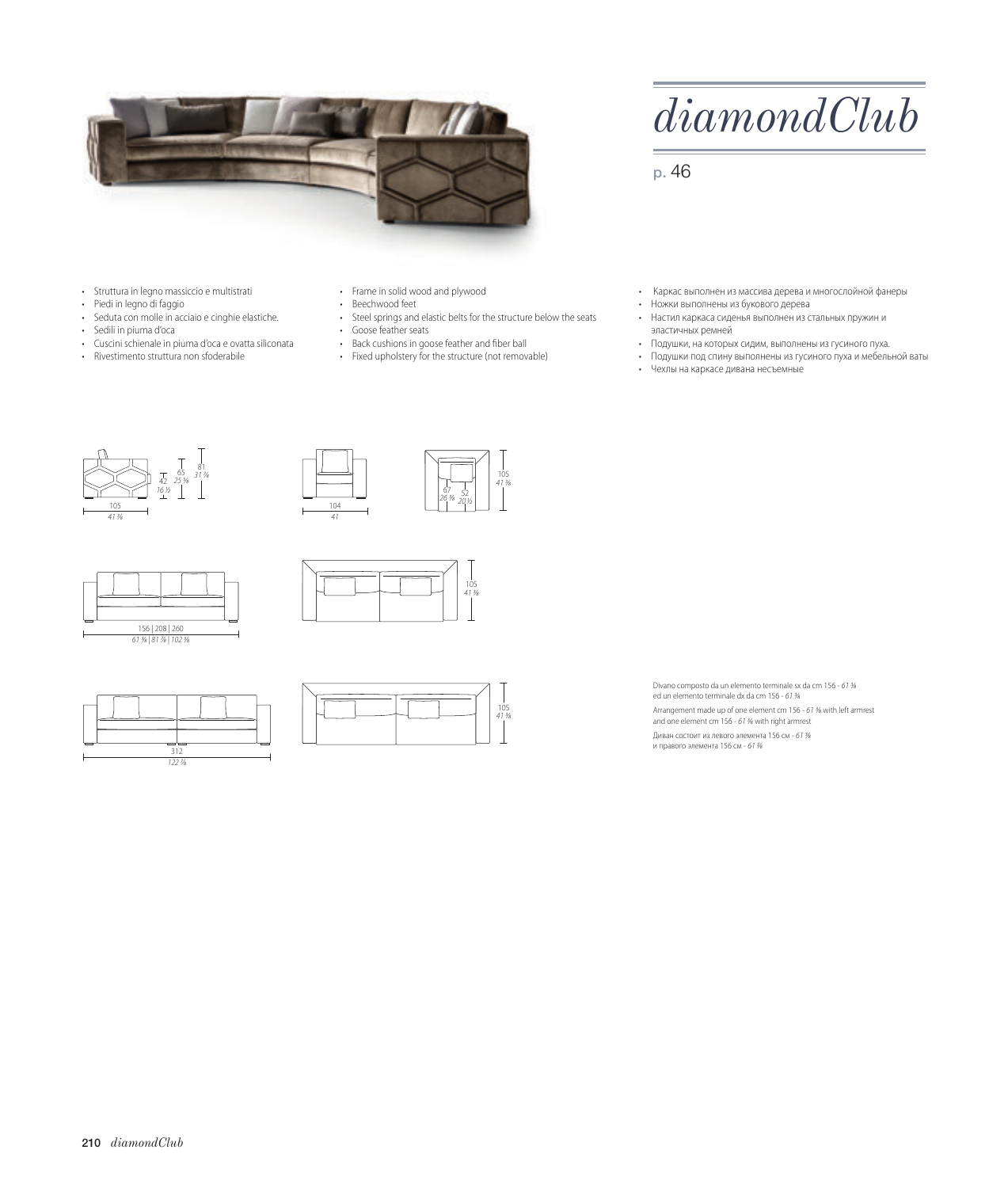

*diamondClub*

p. 46

- Struttura in legno massiccio e multistrati
- Piedi in legno di faggio
- Seduta con molle in acciaio e cinghie elastiche.
- Sedili in piuma d'oca
- Cuscini schienale in piuma d'oca e ovatta siliconata
- Rivestimento struttura non sfoderabile

• Frame in solid wood and plywood

- Beechwood feet
- Steel springs and elastic belts for the structure below the seats • Goose feather seats

105 41 3⁄8

> 105 41 3⁄8

- Back cushions in goose feather and fiber ball
- Fixed upholstery for the structure (not removable)
- Каркас выполнен из массива дерева и многослойной фанеры
- Ножки выполнены из букового дерева
- Настил каркаса сиденья выполнен из стальных пружин и эластичных ремней
- Подушки, на которых сидим, выполнены из гусиного пуха.
- Подушки под спину выполнены из гусиного пуха и мебельной ваты
- Чехлы на каркасе дивана несъемные







312 122 7⁄8





Divano composto da un elemento terminale sx da cm 156 - 61 ⁄ ed un elemento terminale dx da cm 156 - 61 % Arrangement made up of one element cm 156 - 61 % with left armrest and one element cm 156 - 61 % with right armrest Диван состоит из левого элемента 156 см - 61 ¾<br>и правого элемента 156 см - 61 ¾